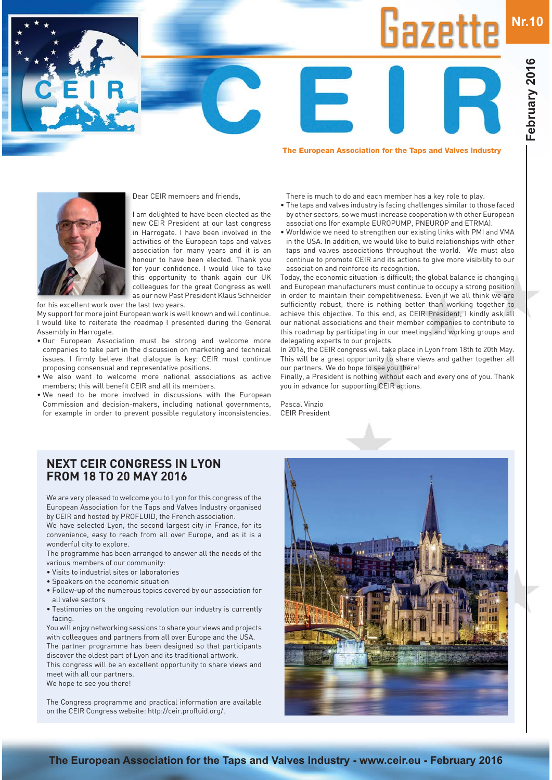**Nr.10**

**The European Association for the Taps and Valves Industry**

Gazette

Dear CEIR members and friends,

I am delighted to have been elected as the new CEIR President at our last congress in Harrogate. I have been involved in the activities of the European taps and valves association for many years and it is an honour to have been elected. Thank you for your confidence. I would like to take this opportunity to thank again our UK colleagues for the great Congress as well as our new Past President Klaus Schneider

for his excellent work over the last two years.

My support for more joint European work is well known and will continue. I would like to reiterate the roadmap I presented during the General Assembly in Harrogate.

- . Our European Association must be strong and welcome more companies to take part in the discussion on marketing and technical issues. I firmly believe that dialogue is key: CEIR must continue proposing consensual and representative positions.
- . We also want to welcome more national associations as active members; this will benefit CEIR and all its members.
- . We need to be more involved in discussions with the European Commission and decision-makers, including national governments, for example in order to prevent possible regulatory inconsistencies.
- There is much to do and each member has a key role to play.
- The taps and valves industry is facing challenges similar to those faced by other sectors, so we must increase cooperation with other European associations (for example EUROPUMP, PNEUROP and ETRMA).
- Worldwide we need to strengthen our existing links with PMI and VMA in the USA. In addition, we would like to build relationships with other taps and valves associations throughout the world. We must also continue to promote CEIR and its actions to give more visibility to our association and reinforce its recognition.

Today, the economic situation is difficult; the global balance is changing and European manufacturers must continue to occupy a strong position in order to maintain their competitiveness. Even if we all think we are sufficiently robust, there is nothing better than working together to achieve this objective. To this end, as CEIR President, I kindly ask all our national associations and their member companies to contribute to this roadmap by participating in our meetings and working groups and delegating experts to our projects.

In 2016, the CEIR congress will take place in Lyon from 18th to 20th May. This will be a great opportunity to share views and gather together all our partners. We do hope to see you there!

Finally, a President is nothing without each and every one of you. Thank you in advance for supporting CEIR actions.

Pascal Vinzio CEIR President

### **NEXT CEIR CONGRESS IN LYON FROM 18 TO 20 MAY 2016**

We are very pleased to welcome you to Lyon for this congress of the European Association for the Taps and Valves Industry organised by CEIR and hosted by PROFLUID, the French association.

We have selected Lyon, the second largest city in France, for its convenience, easy to reach from all over Europe, and as it is a wonderful city to explore.

The programme has been arranged to answer all the needs of the various members of our community:

- . Visits to industrial sites or laboratories
- Speakers on the economic situation
- Follow-up of the numerous topics covered by our association for all valve sectors
- . Testimonies on the ongoing revolution our industry is currently facing.

You will enjoy networking sessions to share your views and projects with colleagues and partners from all over Europe and the USA. The partner programme has been designed so that participants discover the oldest part of Lyon and its traditional artwork.

This congress will be an excellent opportunity to share views and meet with all our partners.

We hope to see you there!

The Congress programme and practical information are available on the CEIR Congress website: http://ceir.profluid.org/.

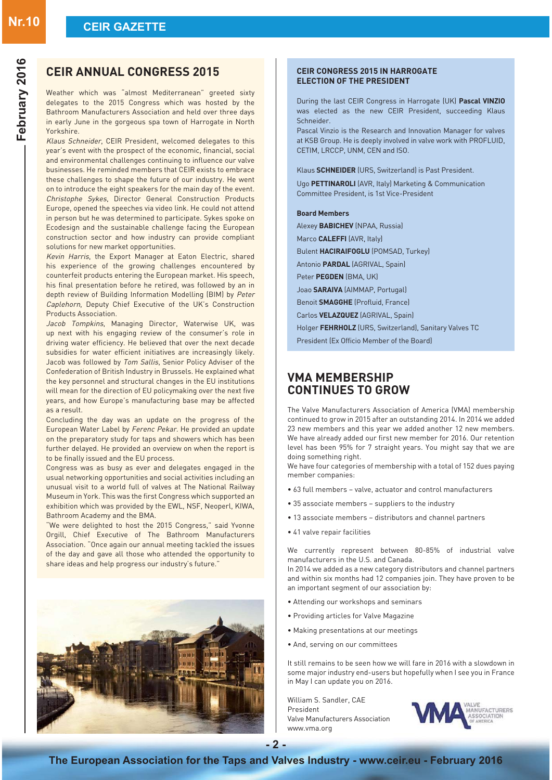## **CEIR ANNUAL CONGRESS 2015**

Weather which was "almost Mediterranean" greeted sixty delegates to the 2015 Congress which was hosted by the Bathroom Manufacturers Association and held over three days in early June in the gorgeous spa town of Harrogate in North Yorkshire.

Klaus Schneider, CEIR President, welcomed delegates to this year's event with the prospect of the economic, financial, social and environmental challenges continuing to influence our valve businesses. He reminded members that CEIR exists to embrace these challenges to shape the future of our industry. He went on to introduce the eight speakers for the main day of the event. Christophe Sykes, Director General Construction Products Europe, opened the speeches via video link. He could not attend in person but he was determined to participate. Sykes spoke on Ecodesign and the sustainable challenge facing the European construction sector and how industry can provide compliant solutions for new market opportunities.

Kevin Harris, the Export Manager at Eaton Electric, shared his experience of the growing challenges encountered by counterfeit products entering the European market. His speech, his final presentation before he retired, was followed by an in depth review of Building Information Modelling (BIM) by Peter Caplehorn, Deputy Chief Executive of the UK's Construction Products Association.

*Jacob Tompkins*, Managing Director, Waterwise UK, was up next with his engaging review of the consumer's role in driving water efficiency. He believed that over the next decade subsidies for water efficient initiatives are increasingly likely. Jacob was followed by Tom Sallis, Senior Policy Adviser of the Confederation of British Industry in Brussels. He explained what the key personnel and structural changes in the EU institutions will mean for the direction of EU policymaking over the next five years, and how Europe's manufacturing base may be affected as a result.

Concluding the day was an update on the progress of the European Water Label by Ferenc Pekar. He provided an update on the preparatory study for taps and showers which has been further delayed. He provided an overview on when the report is to be finally issued and the EU process.

Congress was as busy as ever and delegates engaged in the usual networking opportunities and social activities including an unusual visit to a world full of valves at The National Railway Museum in York. This was the first Congress which supported an exhibition which was provided by the EWL, NSF, Neoperl, KIWA, Bathroom Academy and the BMA.

"We were delighted to host the 2015 Congress," said Yvonne Orgill, Chief Executive of The Bathroom Manufacturers Association. "Once again our annual meeting tackled the issues of the day and gave all those who attended the opportunity to share ideas and help progress our industry's future."



#### **CEIR CONGRESS 2015 IN HARROGATE ELECTION OF THE PRESIDENT**

During the last CEIR Congress in Harrogate (UK) Pascal VINZIO was elected as the new CEIR President, succeeding Klaus Schneider.

Pascal Vinzio is the Research and Innovation Manager for valves at KSB Group. He is deeply involved in valve work with PROFLUID, CETIM, LRCCP, UNM, CEN and ISO.

Klaus **SCHNEIDER** (URS, Switzerland) is Past President.

Ugo PETTINAROLI (AVR, Italy) Marketing & Communication Committee President, is 1st Vice-President

#### **Board Members**

Alexey **BABICHEV** (NPAA, Russia) Marco CALEFFI (AVR, Italy)

Bulent HACIRAIFOGLU (POMSAD, Turkey)

Antonio PARDAL (AGRIVAL, Spain)

Peter **PEGDEN** (BMA, UK)

Joao **SARAIVA** (AIMMAP, Portugal)

Benoit **SMAGGHE** (Profluid, France)

Carlos **VELAZQUEZ** [AGRIVAL, Spain]

Holger FEHRHOLZ (URS, Switzerland), Sanitary Valves TC

President (Ex Officio Member of the Board)

### **VMA MEMBERSHIP CONTINUES TO GROW**

The Valve Manufacturers Association of America (VMA) membership continued to grow in 2015 after an outstanding 2014. In 2014 we added 23 new members and this year we added another 12 new members. We have already added our first new member for 2016. Our retention level has been 95% for 7 straight years. You might say that we are doing something right.

We have four categories of membership with a total of 152 dues paying member companies:

- 63 full members valve, actuator and control manufacturers
- 35 associate members suppliers to the industry
- 13 associate members distributors and channel partners
- 41 valve repair facilities

We currently represent between 80-85% of industrial valve manufacturers in the U.S. and Canada.

In 2014 we added as a new category distributors and channel partners and within six months had 12 companies join. They have proven to be an important segment of our association by:

- Attending our workshops and seminars
- Providing articles for Valve Magazine
- Making presentations at our meetings
- And, serving on our committees

It still remains to be seen how we will fare in 2016 with a slowdown in some major industry end-users but hopefully when I see you in France in May I can update you on 2016.

William S. Sandler, CAE President Valve Manufacturers Association www.vma.org

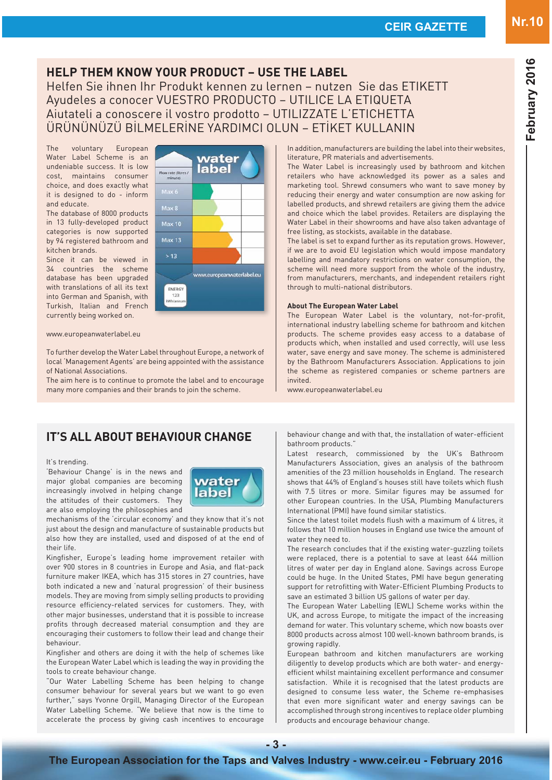In addition, manufacturers are building the label into their websites, literature, PR materials and advertisements.

The Water Label is increasingly used by bathroom and kitchen retailers who have acknowledged its power as a sales and marketing tool. Shrewd consumers who want to save money by reducing their energy and water consumption are now asking for labelled products, and shrewd retailers are giving them the advice and choice which the label provides. Retailers are displaying the Water Label in their showrooms and have also taken advantage of free listing, as stockists, available in the database.

The label is set to expand further as its reputation grows. However, if we are to avoid EU legislation which would impose mandatory labelling and mandatory restrictions on water consumption, the scheme will need more support from the whole of the industry, from manufacturers, merchants, and independent retailers right through to multi-national distributors.

#### **About The European Water Label**

The European Water Label is the voluntary, not-for-profit, international industry labelling scheme for bathroom and kitchen products. The scheme provides easy access to a database of products which, when installed and used correctly, will use less water, save energy and save money. The scheme is administered by the Bathroom Manufacturers Association. Applications to join the scheme as registered companies or scheme partners are invited.

Latest research, commissioned by the UK's Bathroom Manufacturers Association, gives an analysis of the bathroom amenities of the 23 million households in England. The research shows that 44% of England's houses still have toilets which flush with 7.5 litres or more. Similar figures may be assumed for other European countries. In the USA, Plumbing Manufacturers

Since the latest toilet models flush with a maximum of 4 litres, it follows that 10 million houses in England use twice the amount of

The research concludes that if the existing water-guzzling toilets were replaced, there is a potential to save at least 644 million litres of water per day in England alone. Savings across Europe could be huge. In the United States, PMI have begun generating support for retrofitting with Water-Efficient Plumbing Products to

The European Water Labelling (EWL) Scheme works within the UK, and across Europe, to mitigate the impact of the increasing demand for water. This voluntary scheme, which now boasts over 8000 products across almost 100 well-known bathroom brands, is

European bathroom and kitchen manufacturers are working diligently to develop products which are both water- and energyefficient whilst maintaining excellent performance and consumer satisfaction. While it is recognised that the latest products are designed to consume less water, the Scheme re-emphasises that even more significant water and energy savings can be accomplished through strong incentives to replace older plumbing

save an estimated 3 billion US gallons of water per day.

products and encourage behaviour change.

International (PMI) have found similar statistics.

www.europeanwaterlabel.eu

water they need to.

growing rapidly.

### **IT'S ALL ABOUT BEHAVIOUR CHANGE**

#### It's trending.

'Behaviour Change' is in the news and major global companies are becoming increasingly involved in helping change the attitudes of their customers. They are also employing the philosophies and

mechanisms of the 'circular economy' and they know that it's not just about the design and manufacture of sustainable products but also how they are installed, used and disposed of at the end of their life.

Kingfisher, Europe's leading home improvement retailer with over 900 stores in 8 countries in Europe and Asia, and flat-pack furniture maker IKEA, which has 315 stores in 27 countries, have both indicated a new and 'natural progression' of their business models. They are moving from simply selling products to providing resource efficiency-related services for customers. They, with other major businesses, understand that it is possible to increase profits through decreased material consumption and they are encouraging their customers to follow their lead and change their behaviour.

Kingfisher and others are doing it with the help of schemes like the European Water Label which is leading the way in providing the tools to create behaviour change.

"Our Water Labelling Scheme has been helping to change consumer behaviour for several years but we want to go even further," says Yvonne Orgill, Managing Director of the European Water Labelling Scheme. "We believe that now is the time to accelerate the process by giving cash incentives to encourage

#### kitchen brands.  $>13$ Since it can be viewed in

Flow rate (litres May 6

34 countries the scheme database has been upgraded with translations of all its text into German and Spanish, with Turkish, Italian and French currently being worked on.

The voluntary European Water Label Scheme is an undeniable success. It is low cost, maintains consumer choice, and does exactly what it is designed to do - inform

The database of 8000 products in 13 fully-developed product categories is now supported by 94 registered bathroom and

and educate.

#### www.europeanwaterlabel.eu

To further develop the Water Label throughout Europe, a network of local 'Management Agents' are being appointed with the assistance of National Associations.

The aim here is to continue to promote the label and to encourage many more companies and their brands to join the scheme.

### behaviour change and with that, the installation of water-efficient bathroom products."

# water label



water label

**HELP THEM KNOW YOUR PRODUCT – USE THE LABEL**

Helfen Sie ihnen Ihr Produkt kennen zu lernen – nutzen Sie das ETIKETT

Ayudeles a conocer VUESTRO PRODUCTO – UTILICE LA ETIQUETA Aiutateli a conoscere il vostro prodotto – UTILIZZATE L'ETICHETTA <u>ÜRÜNÜNÜZÜ BİLMELERINE YARDIMCI OLUN – ETİKET KULLANIN</u>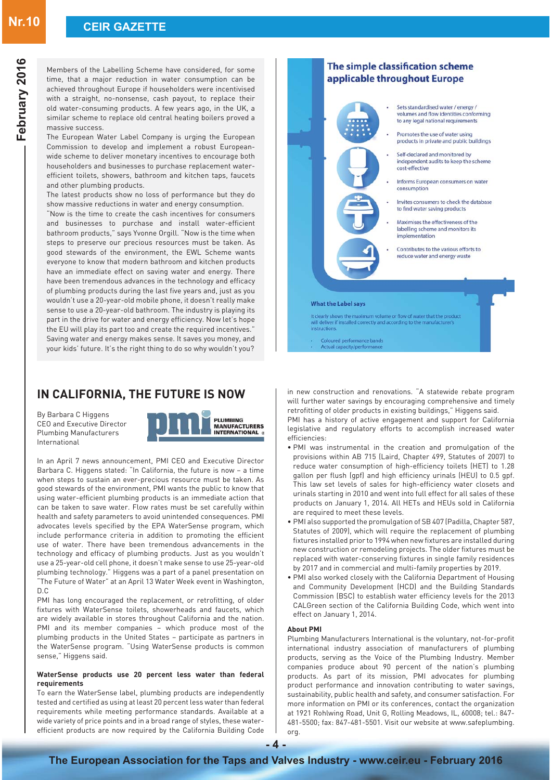Members of the Labelling Scheme have considered, for some time, that a major reduction in water consumption can be achieved throughout Europe if householders were incentivised with a straight, no-nonsense, cash payout, to replace their old water-consuming products. A few years ago, in the UK, a similar scheme to replace old central heating boilers proved a massive success.

The European Water Label Company is urging the European Commission to develop and implement a robust Europeanwide scheme to deliver monetary incentives to encourage both householders and businesses to purchase replacement waterefficient toilets, showers, bathroom and kitchen taps, faucets and other plumbing products.

The latest products show no loss of performance but they do show massive reductions in water and energy consumption.

"Now is the time to create the cash incentives for consumers and businesses to purchase and install water-efficient bathroom products," says Yvonne Orgill. "Now is the time when steps to preserve our precious resources must be taken. As good stewards of the environment, the EWL Scheme wants everyone to know that modern bathroom and kitchen products have an immediate effect on saving water and energy. There have been tremendous advances in the technology and efficacy of plumbing products during the last five years and, just as you wouldn't use a 20-year-old mobile phone, it doesn't really make sense to use a 20-year-old bathroom. The industry is playing its part in the drive for water and energy efficiency. Now let's hope the EU will play its part too and create the required incentives." Saving water and energy makes sense. It saves you money, and your kids' future. It's the right thing to do so why wouldn't you?

### **IN CALIFORNIA, THE FUTURE IS NOW**

By Barbara C Higgens CEO and Executive Director Plumbing Manufacturers International



In an April 7 news announcement, PMI CEO and Executive Director Barbara C. Higgens stated: "In California, the future is now – a time when steps to sustain an ever-precious resource must be taken. As good stewards of the environment, PMI wants the public to know that using water-efficient plumbing products is an immediate action that can be taken to save water. Flow rates must be set carefully within health and safety parameters to avoid unintended consequences. PMI advocates levels specified by the EPA WaterSense program, which include performance criteria in addition to promoting the efficient use of water. There have been tremendous advancements in the technology and efficacy of plumbing products. Just as you wouldn't use a 25-year-old cell phone, it doesn't make sense to use 25-year-old plumbing technology." Higgens was a part of a panel presentation on "The Future of Water" at an April 13 Water Week event in Washington, D.C

PMI has long encouraged the replacement, or retrofitting, of older fixtures with WaterSense toilets, showerheads and faucets, which are widely available in stores throughout California and the nation. PMI and its member companies - which produce most of the plumbing products in the United States - participate as partners in the WaterSense program. "Using WaterSense products is common sense," Higgens said.

#### **WaterSense products use 20 percent less water than federal requirements**

To earn the WaterSense label, plumbing products are independently tested and certified as using at least 20 percent less water than federal requirements while meeting performance standards. Available at a wide variety of price points and in a broad range of styles, these waterefficient products are now required by the California Building Code



Coloured performance bands<br>Actual capacity/performance

in new construction and renovations. "A statewide rebate program will further water savings by encouraging comprehensive and timely retrofitting of older products in existing buildings," Higgens said.

PMI has a history of active engagement and support for California legislative and regulatory efforts to accomplish increased water efficiencies:

- . PMI was instrumental in the creation and promulgation of the provisions within AB 715 (Laird, Chapter 499, Statutes of 2007) to reduce water consumption of high-efficiency toilets (HET) to 1.28 gallon per flush (gpf) and high efficiency urinals (HEU) to 0.5 gpf. This law set levels of sales for high-efficiency water closets and urinals starting in 2010 and went into full effect for all sales of these products on January 1, 2014. All HETs and HEUs sold in California are required to meet these levels.
- . PMI also supported the promulgation of SB 407 (Padilla, Chapter 587, Statutes of 2009), which will require the replacement of plumbing fixtures installed prior to 1994 when new fixtures are installed during new construction or remodeling projects. The older fixtures must be replaced with water-conserving fixtures in single family residences by 2017 and in commercial and multi-family properties by 2019.
- PMI also worked closely with the California Department of Housing and Community Development (HCD) and the Building Standards Commission (BSC) to establish water efficiency levels for the 2013 CALGreen section of the California Building Code, which went into effect on January 1, 2014.

#### **About PMI**

Plumbing Manufacturers International is the voluntary, not-for-profit international industry association of manufacturers of plumbing products, serving as the Voice of the Plumbing Industry. Member companies produce about 90 percent of the nation's plumbing products. As part of its mission, PMI advocates for plumbing product performance and innovation contributing to water savings, sustainability, public health and safety, and consumer satisfaction. For more information on PMI or its conferences, contact the organization at 1921 Rohlwing Road, Unit G, Rolling Meadows, IL, 60008; tel.: 847-  $481$ -5500; fax: 847-481-5501. Visit our website at www.safeplumbing. org.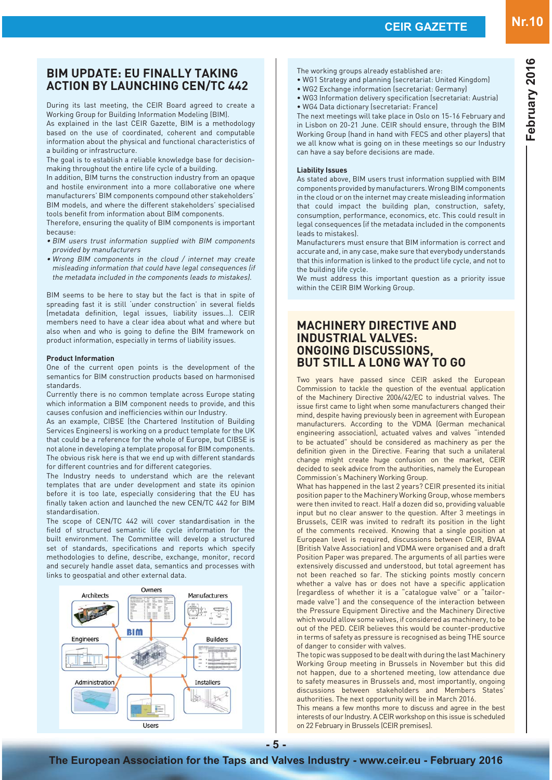**February 2016**

February 2016

### **BIM UPDATE: EU FINALLY TAKING ACTION BY LAUNCHING CEN/TC 442**

During its last meeting, the CEIR Board agreed to create a Working Group for Building Information Modeling (BIM).

As explained in the last CEIR Gazette, BIM is a methodology based on the use of coordinated, coherent and computable information about the physical and functional characteristics of a building or infrastructure.

The goal is to establish a reliable knowledge base for decisionmaking throughout the entire life cycle of a building.

In addition, BIM turns the construction industry from an opaque and hostile environment into a more collaborative one where manufacturers' BIM components compound other stakeholders' BIM models, and where the different stakeholders' specialised tools benefit from information about BIM components.

Therefore, ensuring the quality of BIM components is important because:

- $\bullet$  BIM users trust information supplied with BIM components provided by manufacturers
- . Wrong BIM components in the cloud / internet may create misleading information that could have legal consequences (if the metadata included in the components leads to mistakes).

BIM seems to be here to stay but the fact is that in spite of spreading fast it is still 'under construction' in several fields (metadata definition, legal issues, liability issues...). CEIR members need to have a clear idea about what and where but also when and who is going to define the BIM framework on product information, especially in terms of liability issues.

#### **Product Information**

One of the current open points is the development of the semantics for BIM construction products based on harmonised standards.

Currently there is no common template across Europe stating which information a BIM component needs to provide, and this causes confusion and inefficiencies within our Industry.

As an example, CIBSE (the Chartered Institution of Building Services Engineers) is working on a product template for the UK that could be a reference for the whole of Europe, but CIBSE is not alone in developing a template proposal for BIM components. The obvious risk here is that we end up with different standards for different countries and for different categories.

The Industry needs to understand which are the relevant templates that are under development and state its opinion before it is too late, especially considering that the EU has finally taken action and launched the new CEN/TC 442 for BIM standardisation.

The scope of CEN/TC 442 will cover standardisation in the field of structured semantic life cycle information for the built environment. The Committee will develop a structured set of standards, specifications and reports which specify methodologies to define, describe, exchange, monitor, record and securely handle asset data, semantics and processes with links to geospatial and other external data.



The working groups already established are:

can have a say before decisions are made.

- . WG1 Strategy and planning (secretariat: United Kingdom)
- . WG2 Exchange information (secretariat: Germany)
- . WG3 Information delivery specification (secretariat: Austria) • WG4 Data dictionary (secretariat: France
- The next meetings will take place in Oslo on 15-16 February and in Lisbon on 20-21 June. CEIR should ensure, through the BIM Working Group (hand in hand with FECS and other players) that we all know what is going on in these meetings so our Industry

#### **Liability Issues**

As stated above, BIM users trust information supplied with BIM components provided by manufacturers. Wrong BIM components in the cloud or on the internet may create misleading information that could impact the building plan, construction, safety, consumption, performance, economics, etc. This could result in legal consequences (if the metadata included in the components leads to mistakes).

Manufacturers must ensure that BIM information is correct and accurate and, in any case, make sure that everybody understands that this information is linked to the product life cycle, and not to the building life cycle.

We must address this important question as a priority issue within the CEIR BIM Working Group.

### **MACHINERY DIRECTIVE AND INDUSTRIAL VALVES: ONGOING DISCUSSIONS, BUT STILL A LONG WAY TO GO**

Two years have passed since CEIR asked the European Commission to tackle the question of the eventual application of the Machinery Directive 2006/42/EC to industrial valves. The issue first came to light when some manufacturers changed their mind, despite having previously been in agreement with European manufacturers. According to the VDMA (German mechanical engineering association), actuated valves and valves "intended to be actuated" should be considered as machinery as per the definition given in the Directive. Fearing that such a unilateral change might create huge confusion on the market, CEIR decided to seek advice from the authorities, namely the European Commission's Machinery Working Group.

What has happened in the last 2 years? CEIR presented its initial position paper to the Machinery Working Group, whose members were then invited to react. Half a dozen did so, providing valuable input but no clear answer to the question. After 3 meetings in Brussels, CEIR was invited to redraft its position in the light of the comments received. Knowing that a single position at European level is required, discussions between CEIR, BVAA (British Valve Association) and VDMA were organised and a draft Position Paper was prepared. The arguments of all parties were extensively discussed and understood, but total agreement has not been reached so far. The sticking points mostly concern whether a valve has or does not have a specific application (regardless of whether it is a "catalogue valve" or a "tailormade valve") and the consequence of the interaction between the Pressure Equipment Directive and the Machinery Directive which would allow some valves, if considered as machinery, to be out of the PED. CEIR believes this would be counter-productive in terms of safety as pressure is recognised as being THE source of danger to consider with valves.

The topic was supposed to be dealt with during the last Machinery Working Group meeting in Brussels in November but this did not happen, due to a shortened meeting, low attendance due to safety measures in Brussels and, most importantly, ongoing discussions between stakeholders and Members States' authorities. The next opportunity will be in March 2016.

This means a few months more to discuss and agree in the best interests of our Industry. A CEIR workshop on this issue is scheduled on 22 February in Brussels (CEIR premises).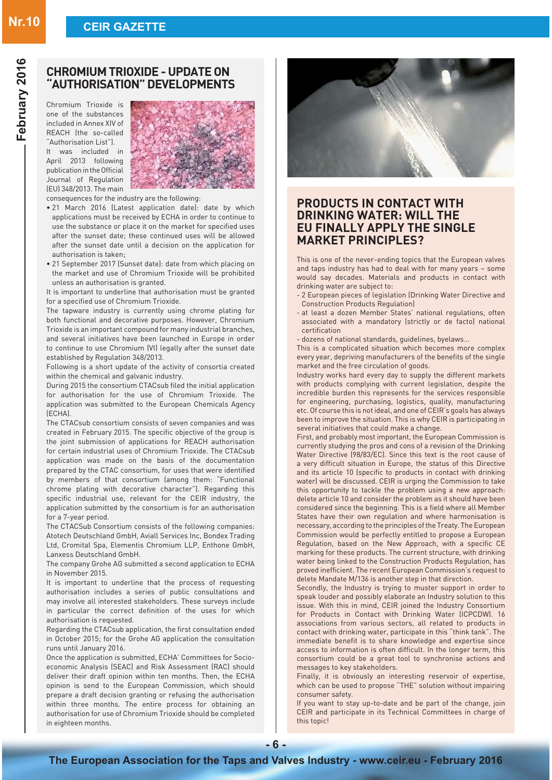# **Nr.10 CEIR GAZETTE**

Chromium Trioxide is one of the substances included in Annex XIV of REACH (the so-called "Authorisation List").

It was included in April 2013 following publication in the Official Journal of Regulation (EU) 348/2013. The main



consequences for the industry are the following:

- . 21 March 2016 (Latest application date): date by which applications must be received by ECHA in order to continue to use the substance or place it on the market for specified uses after the sunset date; these continued uses will be allowed after the sunset date until a decision on the application for authorisation is taken;
- 21 September 2017 (Sunset date): date from which placing on the market and use of Chromium Trioxide will be prohibited unless an authorisation is granted.

It is important to underline that authorisation must be granted for a specified use of Chromium Trioxide.

The tapware industry is currently using chrome plating for both functional and decorative purposes. However, Chromium Trioxide is an important compound for many industrial branches, and several initiatives have been launched in Europe in order to continue to use Chromium (VI) legally after the sunset date established by Regulation 348/2013.

Following is a short update of the activity of consortia created within the chemical and galvanic industry.

During 2015 the consortium CTACsub filed the initial application for authorisation for the use of Chromium Trioxide. The application was submitted to the European Chemicals Agency (ECHA).

The CTACsub consortium consists of seven companies and was created in February 2015. The specific objective of the group is the joint submission of applications for REACH authorisation for certain industrial uses of Chromium Trioxide. The CTACsub application was made on the basis of the documentation prepared by the CTAC consortium, for uses that were identified by members of that consortium (among them: "Functional chrome plating with decorative character"). Regarding this specific industrial use, relevant for the CEIR industry, the application submitted by the consortium is for an authorisation for a 7-year period.

The CTACSub Consortium consists of the following companies: Atotech Deutschland GmbH, Aviall Services Inc, Bondex Trading Ltd, Cromital Spa, Elementis Chromium LLP, Enthone GmbH, Lanxess Deutschland GmbH.

The company Grohe AG submitted a second application to ECHA in November 2015.

It is important to underline that the process of requesting authorisation includes a series of public consultations and may involve all interested stakeholders. These surveys include in particular the correct definition of the uses for which authorisation is requested.

Regarding the CTACsub application, the first consultation ended in October 2015; for the Grohe AG application the consultation runs until January 2016.

Once the application is submitted, ECHA' Committees for Socioeconomic Analysis (SEAC) and Risk Assessment (RAC) should deliver their draft opinion within ten months. Then, the ECHA opinion is send to the European Commission, which should prepare a draft decision granting or refusing the authorisation within three months. The entire process for obtaining an authorisation for use of Chromium Trioxide should be completed in eighteen months.



### **PRODUCTS IN CONTACT WITH DRINKING WATER: WILL THE EU FINALLY APPLY THE SINGLE MARKET PRINCIPLES?**

This is one of the never-ending topics that the European valves and taps industry has had to deal with for many years - some would say decades. Materials and products in contact with drinking water are subject to:

- 2 European pieces of legislation (Drinking Water Directive and Construction Products Regulation
- at least a dozen Member States' national regulations, often associated with a mandatory (strictly or de facto) national certification
- dozens of national standards, guidelines, byelaws...

This is a complicated situation which becomes more complex every year, depriving manufacturers of the benefits of the single market and the free circulation of goods.

Industry works hard every day to supply the different markets with products complying with current legislation, despite the incredible burden this represents for the services responsible for engineering, purchasing, logistics, quality, manufacturing etc. Of course this is not ideal, and one of CEIR's goals has always been to improve the situation. This is why CEIR is participating in several initiatives that could make a change.

First, and probably most important, the European Commission is currently studying the pros and cons of a revision of the Drinking Water Directive (98/83/EC). Since this text is the root cause of a very difficult situation in Europe, the status of this Directive and its article 10 (specific to products in contact with drinking water) will be discussed. CEIR is urging the Commission to take this opportunity to tackle the problem using a new approach: delete article 10 and consider the problem as it should have been considered since the beginning. This is a field where all Member States have their own regulation and where harmonisation is necessary, according to the principles of the Treaty. The European Commission would be perfectly entitled to propose a European Regulation, based on the New Approach, with a specific CE marking for these products. The current structure, with drinking water being linked to the Construction Products Regulation, has proved inefficient. The recent European Commission's request to delete Mandate M/136 is another step in that direction.

Secondly, the Industry is trying to muster support in order to speak louder and possibly elaborate an Industry solution to this issue. With this in mind, CEIR joined the Industry Consortium for Products in Contact with Drinking Water (ICPCDW). 16 associations from various sectors, all related to products in contact with drinking water, participate in this "think tank". The immediate benefit is to share knowledge and expertise since access to information is often difficult. In the longer term, this consortium could be a great tool to synchronise actions and messages to key stakeholders.

Finally, it is obviously an interesting reservoir of expertise, which can be used to propose "THE" solution without impairing consumer safety.

If you want to stay up-to-date and be part of the change, join CEIR and participate in its Technical Committees in charge of this topic!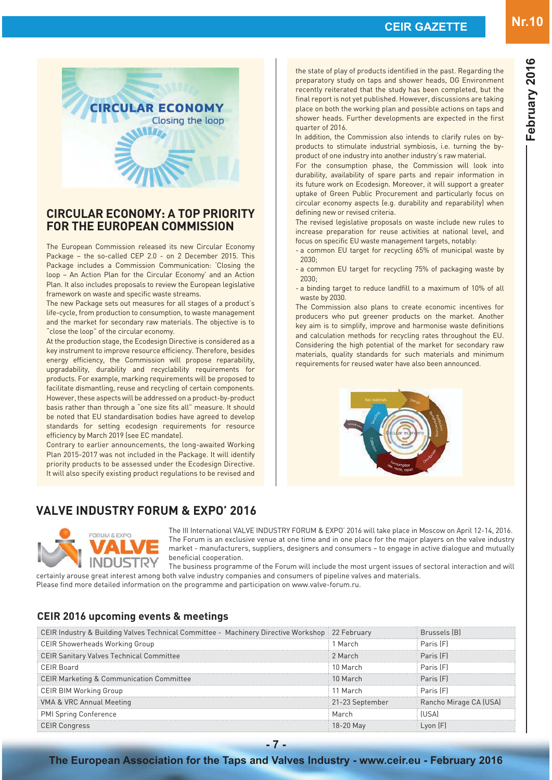

### **CIRCULAR ECONOMY: A TOP PRIORITY FOR THE EUROPEAN COMMISSION**

The European Commission released its new Circular Economy Package - the so-called CEP 2.0 - on 2 December 2015. This Package includes a Commission Communication: 'Closing the loop - An Action Plan for the Circular Economy' and an Action Plan. It also includes proposals to review the European legislative framework on waste and specific waste streams.

The new Package sets out measures for all stages of a product's life-cycle, from production to consumption, to waste management and the market for secondary raw materials. The objective is to "close the loop" of the circular economy.

At the production stage, the Ecodesign Directive is considered as a key instrument to improve resource efficiency. Therefore, besides energy efficiency, the Commission will propose reparability, upgradability, durability and recyclability requirements for products. For example, marking requirements will be proposed to facilitate dismantling, reuse and recycling of certain components. However, these aspects will be addressed on a product-by-product basis rather than through a "one size fits all" measure. It should be noted that EU standardisation bodies have agreed to develop standards for setting ecodesign requirements for resource efficiency by March 2019 (see EC mandate).

Contrary to earlier announcements, the long-awaited Working Plan 2015-2017 was not included in the Package. It will identify priority products to be assessed under the Ecodesign Directive. It will also specify existing product regulations to be revised and

### **VALVE INDUSTRY FORUM & EXPO' 2016**

the state of play of products identified in the past. Regarding the preparatory study on taps and shower heads, DG Environment recently reiterated that the study has been completed, but the final report is not yet published. However, discussions are taking place on both the working plan and possible actions on taps and shower heads. Further developments are expected in the first quarter of 2016.

In addition, the Commission also intends to clarify rules on byproducts to stimulate industrial symbiosis, i.e. turning the byproduct of one industry into another industry's raw material.

For the consumption phase, the Commission will look into durability, availability of spare parts and repair information in its future work on Ecodesign. Moreover, it will support a greater uptake of Green Public Procurement and particularly focus on circular economy aspects (e.g. durability and reparability) when defining new or revised criteria.

The revised legislative proposals on waste include new rules to increase preparation for reuse activities at national level, and focus on specific EU waste management targets, notably:

- a common EU target for recycling 65% of municipal waste by 2030;
- a common EU target for recycling 75% of packaging waste by  $2030<sub>1</sub>$
- a binding target to reduce landfill to a maximum of 10% of all waste by 2030.

The Commission also plans to create economic incentives for producers who put greener products on the market. Another key aim is to simplify, improve and harmonise waste definitions and calculation methods for recycling rates throughout the EU. Considering the high potential of the market for secondary raw materials, quality standards for such materials and minimum requirements for reused water have also been announced.





The III International VALVE INDUSTRY FORUM & EXPO' 2016 will take place in Moscow on April 12-14, 2016. The Forum is an exclusive venue at one time and in one place for the major players on the valve industry market - manufacturers, suppliers, designers and consumers – to engage in active dialogue and mutually beneficial cooperation.

The business programme of the Forum will include the most urgent issues of sectoral interaction and will certainly arouse great interest among both valve industry companies and consumers of pipeline valves and materials.

Please find more detailed information on the programme and participation on www.valve-forum.ru.

### **CEIR 2016 upcoming events & meetings**

| CEIR Industry & Building Valves Technical Committee - Machinery Directive Workshop : 22 February |                 | Brussels [B]           |
|--------------------------------------------------------------------------------------------------|-----------------|------------------------|
| CEIR Showerheads Working Group                                                                   | March           | Paris [F]              |
| CEIR Sanitary Valves Technical Committee                                                         | 2 March         | Paris (F)              |
| CEIR Board                                                                                       | 10 March        | Paris [F]              |
| CEIR Marketing & Communication Committee                                                         | 10 March        | Paris [F]              |
| <b>CEIR BIM Working Group</b>                                                                    | 11 March        | Paris [F]              |
| VMA & VRC Annual Meeting                                                                         | 21-23 September | Rancho Mirage CA (USA) |
| <b>PMI Spring Conference</b>                                                                     | March           | ∣IS∆                   |
| CEIR Conaress                                                                                    |                 |                        |

### **The European Association for the Taps and Valves Industry - www.ceir.eu - February 2016**